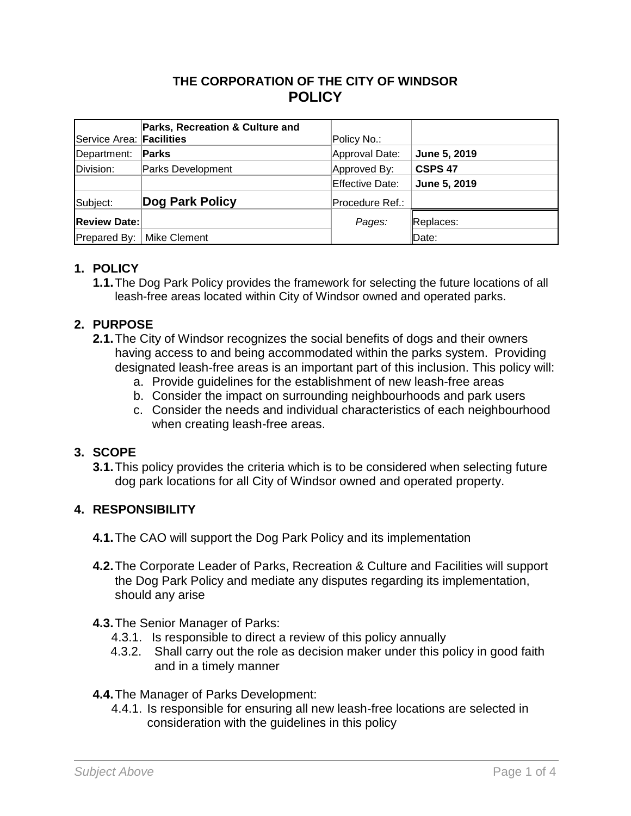## **THE CORPORATION OF THE CITY OF WINDSOR POLICY**

| Service Area: Facilities | Parks, Recreation & Culture and | Policy No.:     |                    |
|--------------------------|---------------------------------|-----------------|--------------------|
| Department:              | Parks                           | Approval Date:  | June 5, 2019       |
| Division:                | Parks Development               | Approved By:    | CSPS <sub>47</sub> |
|                          |                                 | Effective Date: | June 5, 2019       |
| Subject:                 | Dog Park Policy                 | Procedure Ref.: |                    |
| <b>Review Date:</b>      |                                 | Pages:          | Replaces:          |
|                          | Prepared By:   Mike Clement     |                 | Date:              |

#### **1. POLICY**

**1.1.**The Dog Park Policy provides the framework for selecting the future locations of all leash-free areas located within City of Windsor owned and operated parks.

### **2. PURPOSE**

- **2.1.**The City of Windsor recognizes the social benefits of dogs and their owners having access to and being accommodated within the parks system. Providing designated leash-free areas is an important part of this inclusion. This policy will:
	- a. Provide guidelines for the establishment of new leash-free areas
	- b. Consider the impact on surrounding neighbourhoods and park users
	- c. Consider the needs and individual characteristics of each neighbourhood when creating leash-free areas.

#### **3. SCOPE**

**3.1.**This policy provides the criteria which is to be considered when selecting future dog park locations for all City of Windsor owned and operated property.

### **4. RESPONSIBILITY**

- **4.1.**The CAO will support the Dog Park Policy and its implementation
- **4.2.**The Corporate Leader of Parks, Recreation & Culture and Facilities will support the Dog Park Policy and mediate any disputes regarding its implementation, should any arise
- **4.3.**The Senior Manager of Parks:
	- 4.3.1. Is responsible to direct a review of this policy annually
	- 4.3.2. Shall carry out the role as decision maker under this policy in good faith and in a timely manner
- **4.4.**The Manager of Parks Development:
	- 4.4.1. Is responsible for ensuring all new leash-free locations are selected in consideration with the guidelines in this policy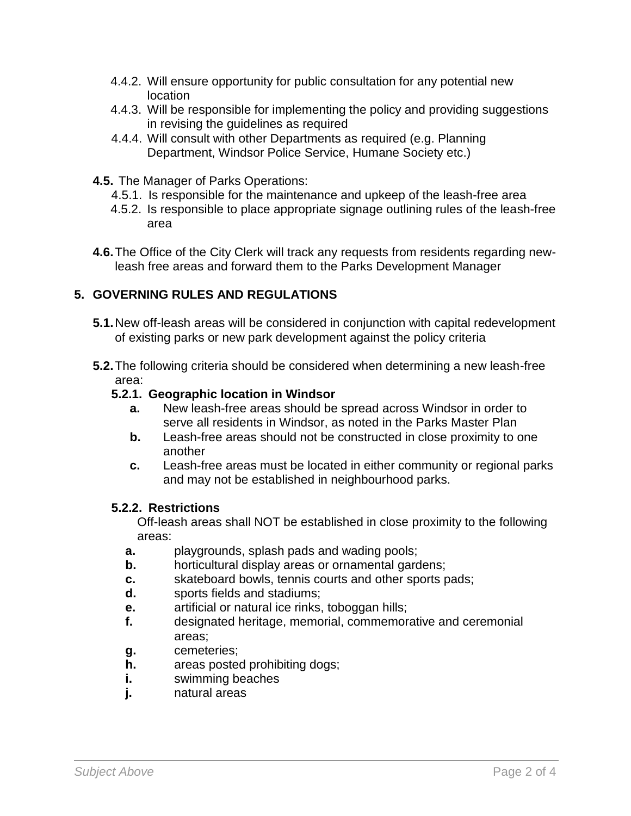- 4.4.2. Will ensure opportunity for public consultation for any potential new location
- 4.4.3. Will be responsible for implementing the policy and providing suggestions in revising the guidelines as required
- 4.4.4. Will consult with other Departments as required (e.g. Planning Department, Windsor Police Service, Humane Society etc.)
- **4.5.** The Manager of Parks Operations:
	- 4.5.1. Is responsible for the maintenance and upkeep of the leash-free area
	- 4.5.2. Is responsible to place appropriate signage outlining rules of the leash-free area
- **4.6.**The Office of the City Clerk will track any requests from residents regarding newleash free areas and forward them to the Parks Development Manager

## **5. GOVERNING RULES AND REGULATIONS**

- **5.1.**New off-leash areas will be considered in conjunction with capital redevelopment of existing parks or new park development against the policy criteria
- **5.2.**The following criteria should be considered when determining a new leash-free area:

### **5.2.1. Geographic location in Windsor**

- **a.** New leash-free areas should be spread across Windsor in order to serve all residents in Windsor, as noted in the Parks Master Plan
- **b.** Leash-free areas should not be constructed in close proximity to one another
- **c.** Leash-free areas must be located in either community or regional parks and may not be established in neighbourhood parks.

#### **5.2.2. Restrictions**

Off-leash areas shall NOT be established in close proximity to the following areas:

- **a.** playgrounds, splash pads and wading pools;
- **b.** horticultural display areas or ornamental gardens;
- **c.** skateboard bowls, tennis courts and other sports pads;
- **d.** sports fields and stadiums;
- **e.** artificial or natural ice rinks, toboggan hills;
- **f.** designated heritage, memorial, commemorative and ceremonial areas;
- **g.** cemeteries;
- **h.** areas posted prohibiting dogs;
- **i.** swimming beaches
- **j.** natural areas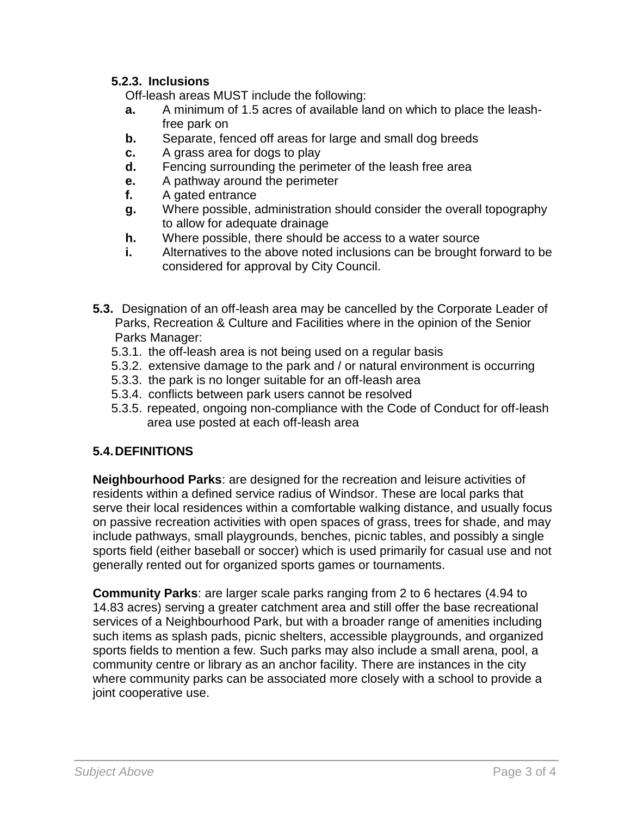### **5.2.3. Inclusions**

Off-leash areas MUST include the following:

- **a.** A minimum of 1.5 acres of available land on which to place the leashfree park on
- **b.** Separate, fenced off areas for large and small dog breeds
- **c.** A grass area for dogs to play
- **d.** Fencing surrounding the perimeter of the leash free area
- **e.** A pathway around the perimeter
- **f.** A gated entrance
- **g.** Where possible, administration should consider the overall topography to allow for adequate drainage
- **h.** Where possible, there should be access to a water source
- **i.** Alternatives to the above noted inclusions can be brought forward to be considered for approval by City Council.
- **5.3.** Designation of an off-leash area may be cancelled by the Corporate Leader of Parks, Recreation & Culture and Facilities where in the opinion of the Senior Parks Manager:
	- 5.3.1. the off-leash area is not being used on a regular basis
	- 5.3.2. extensive damage to the park and / or natural environment is occurring
	- 5.3.3. the park is no longer suitable for an off-leash area
	- 5.3.4. conflicts between park users cannot be resolved
	- 5.3.5. repeated, ongoing non-compliance with the Code of Conduct for off-leash area use posted at each off-leash area

## **5.4.DEFINITIONS**

**Neighbourhood Parks**: are designed for the recreation and leisure activities of residents within a defined service radius of Windsor. These are local parks that serve their local residences within a comfortable walking distance, and usually focus on passive recreation activities with open spaces of grass, trees for shade, and may include pathways, small playgrounds, benches, picnic tables, and possibly a single sports field (either baseball or soccer) which is used primarily for casual use and not generally rented out for organized sports games or tournaments.

**Community Parks**: are larger scale parks ranging from 2 to 6 hectares (4.94 to 14.83 acres) serving a greater catchment area and still offer the base recreational services of a Neighbourhood Park, but with a broader range of amenities including such items as splash pads, picnic shelters, accessible playgrounds, and organized sports fields to mention a few. Such parks may also include a small arena, pool, a community centre or library as an anchor facility. There are instances in the city where community parks can be associated more closely with a school to provide a joint cooperative use.